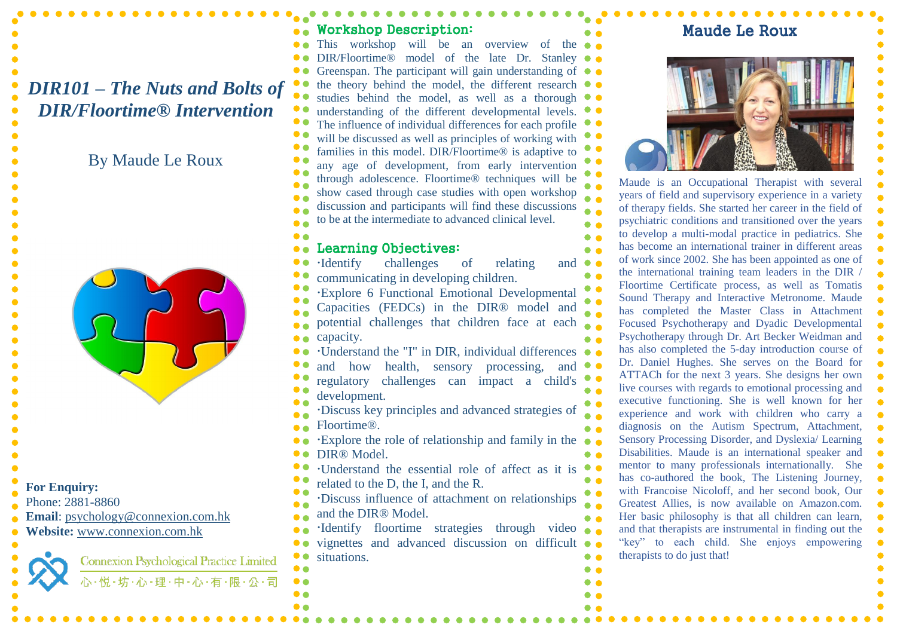## *DIR101 – The Nuts and Bolts of DIR/Floortime® Intervention*

### By Maude Le Roux



#### **For Enquiry:**

- Phone: 2881-8860
- **Email**: [psychology@connexion.com.hk](mailto:psychology@connexion.com.hk)
- **Website:** [www.connexion.com.hk](http://www.connexion.com.hk/)



**Connexion Psychological Practice Limited** い·悦·坊·心·理·中·心·有·限·公·司

#### Workshop Description: This workshop will be an overview of the DIR/Floortime® model of the late Dr. Stanley Greenspan. The participant will gain understanding of the theory behind the model, the different research studies behind the model, as well as a thorough understanding of the different developmental levels. The influence of individual differences for each profile will be discussed as well as principles of working with families in this model. DIR/Floortime® is adaptive to any age of development, from early intervention through adolescence. Floortime® techniques will be show cased through case studies with open workshop discussion and participants will find these discussions to be at the intermediate to advanced clinical level. Learning Objectives: Identify challenges of relating and communicating in developing children. Explore 6 Functional Emotional Developmental Capacities (FEDCs) in the DIR® model and potential challenges that children face at each capacity. Understand the "I" in DIR, individual differences and how health, sensory processing, and regulatory challenges can impact a child's development. Discuss key principles and advanced strategies of Floortime® .

- Explore the role of relationship and family in the
- DIR<sup>®</sup> Model.
- Understand the essential role of affect as it is
- related to the D, the I, and the R.
- Discuss influence of attachment on relationships and the DIR® Model.
- Identify floortime strategies through video vignettes and advanced discussion on difficult situations.

### Maude Le Roux



Maude is an Occupational Therapist with several years of field and supervisory experience in a variety of therapy fields. She started her career in the field of psychiatric conditions and transitioned over the years to develop a multi-modal practice in pediatrics. She has become an international trainer in different areas of work since 2002. She has been appointed as one of the international training team leaders in the DIR / Floortime Certificate process, as well as Tomatis Sound Therapy and Interactive Metronome. Maude has completed the Master Class in Attachment Focused Psychotherapy and Dyadic Developmental Psychotherapy through Dr. Art Becker Weidman and has also completed the 5-day introduction course of Dr. Daniel Hughes. She serves on the Board for ATTACh for the next 3 years. She designs her own live courses with regards to emotional processing and executive functioning. She is well known for her experience and work with children who carry a diagnosis on the Autism Spectrum, Attachment, Sensory Processing Disorder, and Dyslexia/ Learning Disabilities. Maude is an international speaker and mentor to many professionals internationally. She has co-authored the book, The Listening Journey, with Francoise Nicoloff, and her second book, Our Greatest Allies, is now available on Amazon.com. Her basic philosophy is that all children can learn, and that therapists are instrumental in finding out the "key" to each child. She enjoys empowering therapists to do just that!